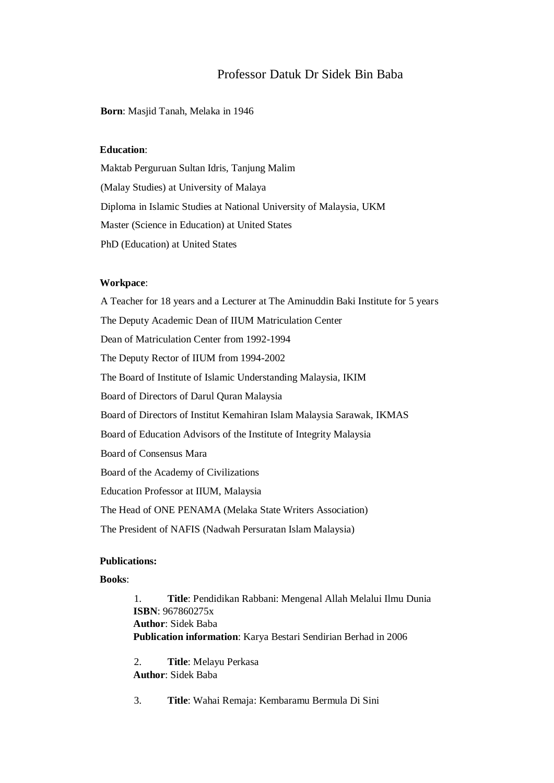# Professor Datuk Dr Sidek Bin Baba

#### **Born**: Masjid Tanah, Melaka in 1946

# **Education**:

Maktab Perguruan Sultan Idris, Tanjung Malim (Malay Studies) at University of Malaya Diploma in Islamic Studies at National University of Malaysia, UKM Master (Science in Education) at United States PhD (Education) at United States

## **Workpace**:

A Teacher for 18 years and a Lecturer at The Aminuddin Baki Institute for 5 years The Deputy Academic Dean of IIUM Matriculation Center Dean of Matriculation Center from 1992-1994 The Deputy Rector of IIUM from 1994-2002 The Board of Institute of Islamic Understanding Malaysia, IKIM Board of Directors of Darul Quran Malaysia Board of Directors of Institut Kemahiran Islam Malaysia Sarawak, IKMAS Board of Education Advisors of the Institute of Integrity Malaysia Board of Consensus Mara Board of the Academy of Civilizations Education Professor at IIUM, Malaysia The Head of ONE PENAMA (Melaka State Writers Association) The President of NAFIS (Nadwah Persuratan Islam Malaysia)

#### **Publications:**

## **Books**:

1. **Title**: Pendidikan Rabbani: Mengenal Allah Melalui Ilmu Dunia **ISBN**: 967860275x **Author**: Sidek Baba **Publication information**: Karya Bestari Sendirian Berhad in 2006

2. **Title**: Melayu Perkasa **Author**: Sidek Baba

3. **Title**: Wahai Remaja: Kembaramu Bermula Di Sini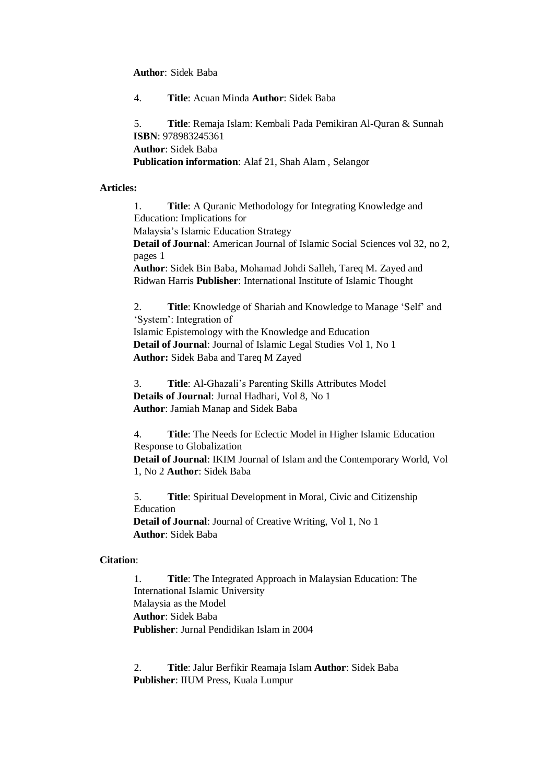**Author**: Sidek Baba

4. **Title**: Acuan Minda **Author**: Sidek Baba

5. **Title**: Remaja Islam: Kembali Pada Pemikiran Al-Quran & Sunnah **ISBN**: 978983245361 **Author**: Sidek Baba **Publication information**: Alaf 21, Shah Alam , Selangor

## **Articles:**

1. **Title**: A Quranic Methodology for Integrating Knowledge and Education: Implications for Malaysia's Islamic Education Strategy **Detail of Journal**: American Journal of Islamic Social Sciences vol 32, no 2, pages 1 **Author**: Sidek Bin Baba, Mohamad Johdi Salleh, Tareq M. Zayed and Ridwan Harris **Publisher**: International Institute of Islamic Thought

2. **Title**: Knowledge of Shariah and Knowledge to Manage 'Self' and 'System': Integration of Islamic Epistemology with the Knowledge and Education **Detail of Journal**: Journal of Islamic Legal Studies Vol 1, No 1 **Author:** Sidek Baba and Tareq M Zayed

3. **Title**: Al-Ghazali's Parenting Skills Attributes Model **Details of Journal**: Jurnal Hadhari, Vol 8, No 1 **Author**: Jamiah Manap and Sidek Baba

4. **Title**: The Needs for Eclectic Model in Higher Islamic Education Response to Globalization **Detail of Journal**: IKIM Journal of Islam and the Contemporary World, Vol 1, No 2 **Author**: Sidek Baba

5. **Title**: Spiritual Development in Moral, Civic and Citizenship Education **Detail of Journal**: Journal of Creative Writing, Vol 1, No 1 **Author**: Sidek Baba

# **Citation**:

1. **Title**: The Integrated Approach in Malaysian Education: The International Islamic University Malaysia as the Model **Author**: Sidek Baba **Publisher**: Jurnal Pendidikan Islam in 2004

2. **Title**: Jalur Berfikir Reamaja Islam **Author**: Sidek Baba **Publisher**: IIUM Press, Kuala Lumpur